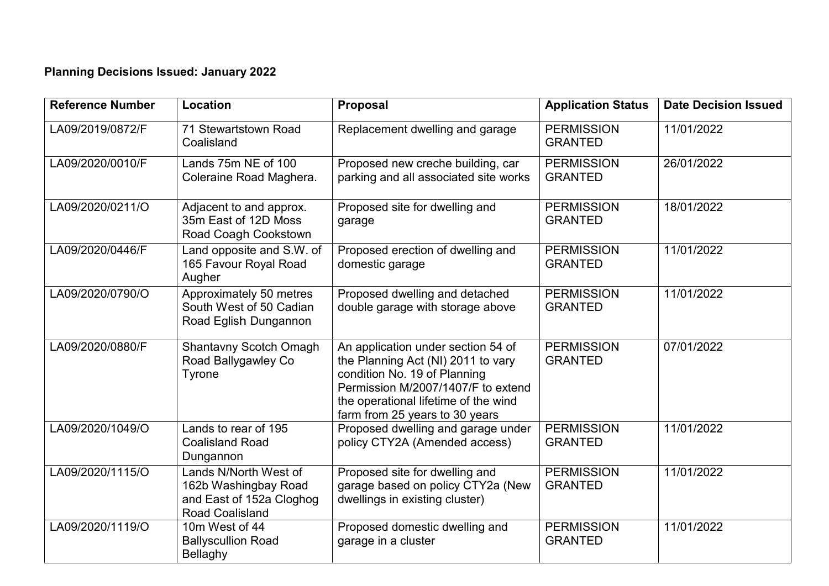## **Planning Decisions Issued: January 2022**

| <b>Reference Number</b> | Location                                                                                            | Proposal                                                                                                                                                                                                                 | <b>Application Status</b>           | <b>Date Decision Issued</b> |
|-------------------------|-----------------------------------------------------------------------------------------------------|--------------------------------------------------------------------------------------------------------------------------------------------------------------------------------------------------------------------------|-------------------------------------|-----------------------------|
| LA09/2019/0872/F        | 71 Stewartstown Road<br>Coalisland                                                                  | Replacement dwelling and garage                                                                                                                                                                                          | <b>PERMISSION</b><br><b>GRANTED</b> | 11/01/2022                  |
| LA09/2020/0010/F        | Lands 75m NE of 100<br>Coleraine Road Maghera.                                                      | Proposed new creche building, car<br>parking and all associated site works                                                                                                                                               | <b>PERMISSION</b><br><b>GRANTED</b> | 26/01/2022                  |
| LA09/2020/0211/O        | Adjacent to and approx.<br>35m East of 12D Moss<br>Road Coagh Cookstown                             | Proposed site for dwelling and<br>garage                                                                                                                                                                                 | <b>PERMISSION</b><br><b>GRANTED</b> | 18/01/2022                  |
| LA09/2020/0446/F        | Land opposite and S.W. of<br>165 Favour Royal Road<br>Augher                                        | Proposed erection of dwelling and<br>domestic garage                                                                                                                                                                     | <b>PERMISSION</b><br><b>GRANTED</b> | 11/01/2022                  |
| LA09/2020/0790/O        | Approximately 50 metres<br>South West of 50 Cadian<br>Road Eglish Dungannon                         | Proposed dwelling and detached<br>double garage with storage above                                                                                                                                                       | <b>PERMISSION</b><br><b>GRANTED</b> | 11/01/2022                  |
| LA09/2020/0880/F        | <b>Shantavny Scotch Omagh</b><br>Road Ballygawley Co<br>Tyrone                                      | An application under section 54 of<br>the Planning Act (NI) 2011 to vary<br>condition No. 19 of Planning<br>Permission M/2007/1407/F to extend<br>the operational lifetime of the wind<br>farm from 25 years to 30 years | <b>PERMISSION</b><br><b>GRANTED</b> | 07/01/2022                  |
| LA09/2020/1049/O        | Lands to rear of 195<br><b>Coalisland Road</b><br>Dungannon                                         | Proposed dwelling and garage under<br>policy CTY2A (Amended access)                                                                                                                                                      | <b>PERMISSION</b><br><b>GRANTED</b> | 11/01/2022                  |
| LA09/2020/1115/O        | Lands N/North West of<br>162b Washingbay Road<br>and East of 152a Cloghog<br><b>Road Coalisland</b> | Proposed site for dwelling and<br>garage based on policy CTY2a (New<br>dwellings in existing cluster)                                                                                                                    | <b>PERMISSION</b><br><b>GRANTED</b> | 11/01/2022                  |
| LA09/2020/1119/O        | 10m West of 44<br><b>Ballyscullion Road</b><br>Bellaghy                                             | Proposed domestic dwelling and<br>garage in a cluster                                                                                                                                                                    | <b>PERMISSION</b><br><b>GRANTED</b> | 11/01/2022                  |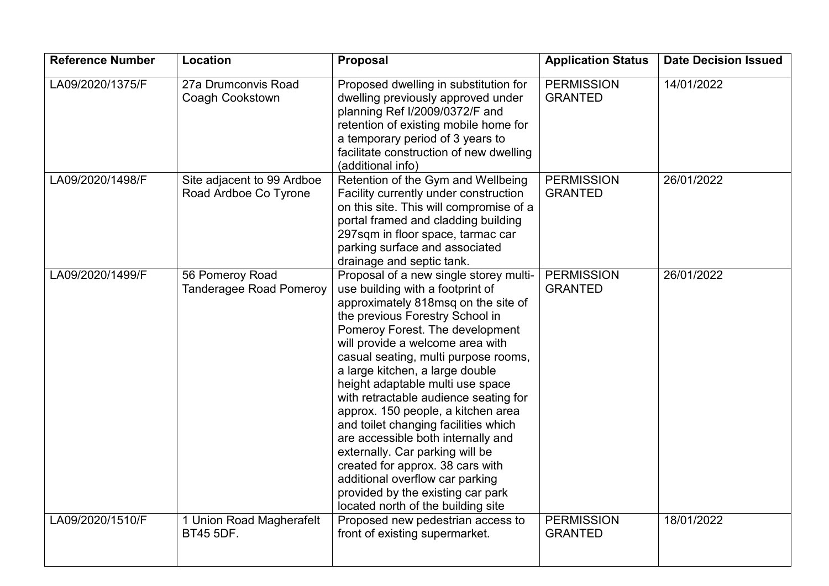| <b>Reference Number</b> | Location                                            | Proposal                                                                                                                                                                                                                                                                                                                                                                                                                                                                                                                                                                                                                                                                                     | <b>Application Status</b>           | <b>Date Decision Issued</b> |
|-------------------------|-----------------------------------------------------|----------------------------------------------------------------------------------------------------------------------------------------------------------------------------------------------------------------------------------------------------------------------------------------------------------------------------------------------------------------------------------------------------------------------------------------------------------------------------------------------------------------------------------------------------------------------------------------------------------------------------------------------------------------------------------------------|-------------------------------------|-----------------------------|
| LA09/2020/1375/F        | 27a Drumconvis Road<br>Coagh Cookstown              | Proposed dwelling in substitution for<br>dwelling previously approved under<br>planning Ref I/2009/0372/F and<br>retention of existing mobile home for<br>a temporary period of 3 years to<br>facilitate construction of new dwelling<br>(additional info)                                                                                                                                                                                                                                                                                                                                                                                                                                   | <b>PERMISSION</b><br><b>GRANTED</b> | 14/01/2022                  |
| LA09/2020/1498/F        | Site adjacent to 99 Ardboe<br>Road Ardboe Co Tyrone | Retention of the Gym and Wellbeing<br>Facility currently under construction<br>on this site. This will compromise of a<br>portal framed and cladding building<br>297sqm in floor space, tarmac car<br>parking surface and associated<br>drainage and septic tank.                                                                                                                                                                                                                                                                                                                                                                                                                            | <b>PERMISSION</b><br><b>GRANTED</b> | 26/01/2022                  |
| LA09/2020/1499/F        | 56 Pomeroy Road<br><b>Tanderagee Road Pomeroy</b>   | Proposal of a new single storey multi-<br>use building with a footprint of<br>approximately 818msq on the site of<br>the previous Forestry School in<br>Pomeroy Forest. The development<br>will provide a welcome area with<br>casual seating, multi purpose rooms,<br>a large kitchen, a large double<br>height adaptable multi use space<br>with retractable audience seating for<br>approx. 150 people, a kitchen area<br>and toilet changing facilities which<br>are accessible both internally and<br>externally. Car parking will be<br>created for approx. 38 cars with<br>additional overflow car parking<br>provided by the existing car park<br>located north of the building site | <b>PERMISSION</b><br><b>GRANTED</b> | 26/01/2022                  |
| LA09/2020/1510/F        | 1 Union Road Magherafelt<br><b>BT45 5DF.</b>        | Proposed new pedestrian access to<br>front of existing supermarket.                                                                                                                                                                                                                                                                                                                                                                                                                                                                                                                                                                                                                          | <b>PERMISSION</b><br><b>GRANTED</b> | 18/01/2022                  |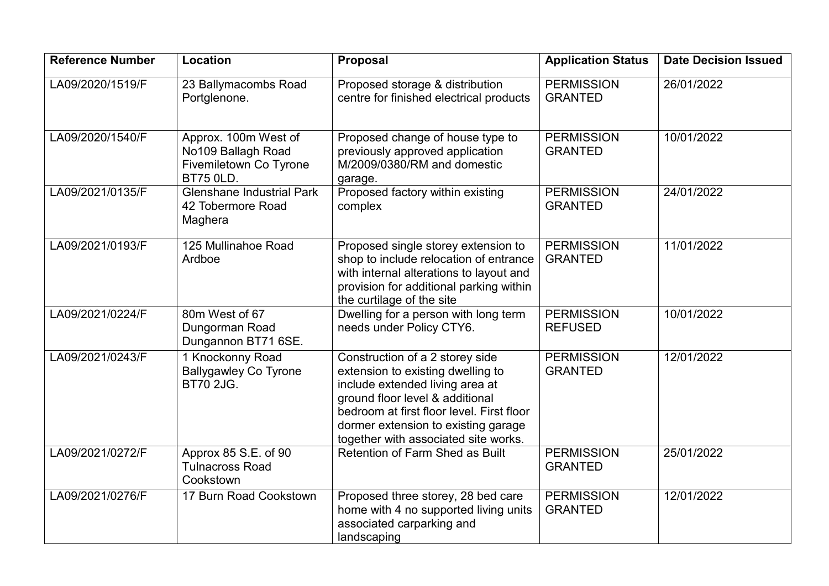| <b>Reference Number</b> | Location                                                                                 | <b>Proposal</b>                                                                                                                                                                                                                                                        | <b>Application Status</b>           | <b>Date Decision Issued</b> |
|-------------------------|------------------------------------------------------------------------------------------|------------------------------------------------------------------------------------------------------------------------------------------------------------------------------------------------------------------------------------------------------------------------|-------------------------------------|-----------------------------|
| LA09/2020/1519/F        | 23 Ballymacombs Road<br>Portglenone.                                                     | Proposed storage & distribution<br>centre for finished electrical products                                                                                                                                                                                             | <b>PERMISSION</b><br><b>GRANTED</b> | 26/01/2022                  |
| LA09/2020/1540/F        | Approx. 100m West of<br>No109 Ballagh Road<br>Fivemiletown Co Tyrone<br><b>BT75 0LD.</b> | Proposed change of house type to<br>previously approved application<br>M/2009/0380/RM and domestic<br>garage.                                                                                                                                                          | <b>PERMISSION</b><br><b>GRANTED</b> | 10/01/2022                  |
| LA09/2021/0135/F        | <b>Glenshane Industrial Park</b><br>42 Tobermore Road<br>Maghera                         | Proposed factory within existing<br>complex                                                                                                                                                                                                                            | <b>PERMISSION</b><br><b>GRANTED</b> | 24/01/2022                  |
| LA09/2021/0193/F        | 125 Mullinahoe Road<br>Ardboe                                                            | Proposed single storey extension to<br>shop to include relocation of entrance<br>with internal alterations to layout and<br>provision for additional parking within<br>the curtilage of the site                                                                       | <b>PERMISSION</b><br><b>GRANTED</b> | 11/01/2022                  |
| LA09/2021/0224/F        | 80m West of 67<br>Dungorman Road<br>Dungannon BT71 6SE.                                  | Dwelling for a person with long term<br>needs under Policy CTY6.                                                                                                                                                                                                       | <b>PERMISSION</b><br><b>REFUSED</b> | 10/01/2022                  |
| LA09/2021/0243/F        | 1 Knockonny Road<br><b>Ballygawley Co Tyrone</b><br><b>BT70 2JG.</b>                     | Construction of a 2 storey side<br>extension to existing dwelling to<br>include extended living area at<br>ground floor level & additional<br>bedroom at first floor level. First floor<br>dormer extension to existing garage<br>together with associated site works. | <b>PERMISSION</b><br><b>GRANTED</b> | 12/01/2022                  |
| LA09/2021/0272/F        | Approx 85 S.E. of 90<br><b>Tulnacross Road</b><br>Cookstown                              | Retention of Farm Shed as Built                                                                                                                                                                                                                                        | <b>PERMISSION</b><br><b>GRANTED</b> | 25/01/2022                  |
| LA09/2021/0276/F        | 17 Burn Road Cookstown                                                                   | Proposed three storey, 28 bed care<br>home with 4 no supported living units<br>associated carparking and<br>landscaping                                                                                                                                                | <b>PERMISSION</b><br><b>GRANTED</b> | 12/01/2022                  |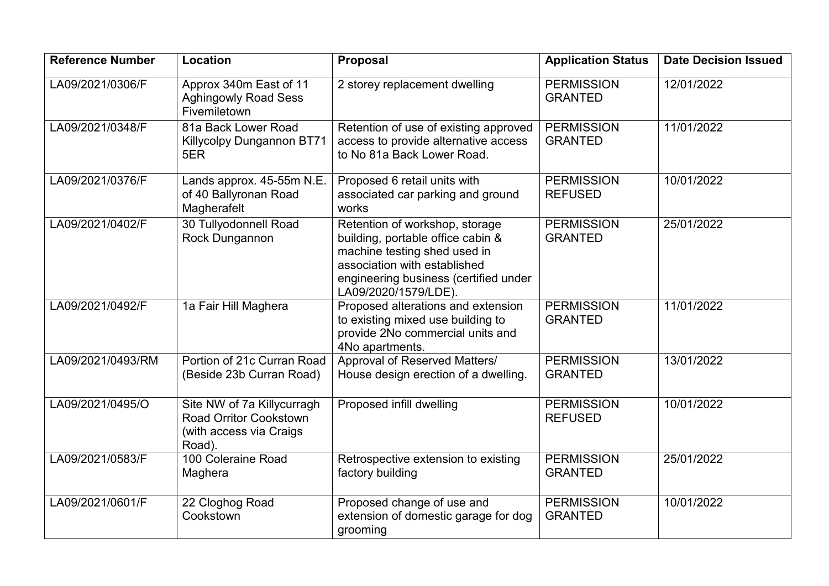| <b>Reference Number</b> | Location                                                                                         | <b>Proposal</b>                                                                                                                                                                                      | <b>Application Status</b>           | <b>Date Decision Issued</b> |
|-------------------------|--------------------------------------------------------------------------------------------------|------------------------------------------------------------------------------------------------------------------------------------------------------------------------------------------------------|-------------------------------------|-----------------------------|
| LA09/2021/0306/F        | Approx 340m East of 11<br><b>Aghingowly Road Sess</b><br>Fivemiletown                            | 2 storey replacement dwelling                                                                                                                                                                        | <b>PERMISSION</b><br><b>GRANTED</b> | 12/01/2022                  |
| LA09/2021/0348/F        | 81a Back Lower Road<br><b>Killycolpy Dungannon BT71</b><br>5ER                                   | Retention of use of existing approved<br>access to provide alternative access<br>to No 81a Back Lower Road.                                                                                          | <b>PERMISSION</b><br><b>GRANTED</b> | 11/01/2022                  |
| LA09/2021/0376/F        | Lands approx. 45-55m N.E.<br>of 40 Ballyronan Road<br>Magherafelt                                | Proposed 6 retail units with<br>associated car parking and ground<br>works                                                                                                                           | <b>PERMISSION</b><br><b>REFUSED</b> | 10/01/2022                  |
| LA09/2021/0402/F        | 30 Tullyodonnell Road<br>Rock Dungannon                                                          | Retention of workshop, storage<br>building, portable office cabin &<br>machine testing shed used in<br>association with established<br>engineering business (certified under<br>LA09/2020/1579/LDE). | <b>PERMISSION</b><br><b>GRANTED</b> | 25/01/2022                  |
| LA09/2021/0492/F        | 1a Fair Hill Maghera                                                                             | Proposed alterations and extension<br>to existing mixed use building to<br>provide 2No commercial units and<br>4No apartments.                                                                       | <b>PERMISSION</b><br><b>GRANTED</b> | 11/01/2022                  |
| LA09/2021/0493/RM       | Portion of 21c Curran Road<br>(Beside 23b Curran Road)                                           | Approval of Reserved Matters/<br>House design erection of a dwelling.                                                                                                                                | <b>PERMISSION</b><br><b>GRANTED</b> | 13/01/2022                  |
| LA09/2021/0495/O        | Site NW of 7a Killycurragh<br><b>Road Orritor Cookstown</b><br>(with access via Craigs<br>Road). | Proposed infill dwelling                                                                                                                                                                             | <b>PERMISSION</b><br><b>REFUSED</b> | 10/01/2022                  |
| LA09/2021/0583/F        | 100 Coleraine Road<br>Maghera                                                                    | Retrospective extension to existing<br>factory building                                                                                                                                              | <b>PERMISSION</b><br><b>GRANTED</b> | 25/01/2022                  |
| LA09/2021/0601/F        | 22 Cloghog Road<br>Cookstown                                                                     | Proposed change of use and<br>extension of domestic garage for dog<br>grooming                                                                                                                       | <b>PERMISSION</b><br><b>GRANTED</b> | 10/01/2022                  |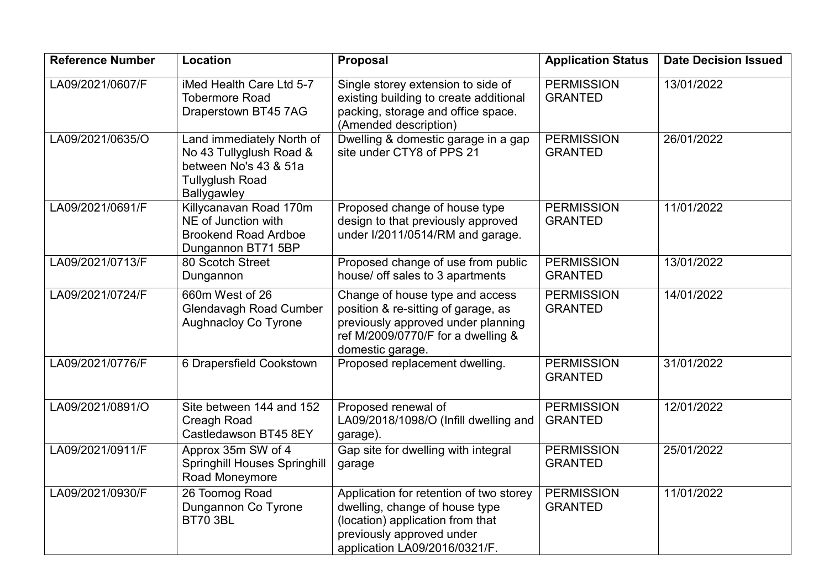| <b>Reference Number</b> | Location                                                                                                               | Proposal                                                                                                                                                                    | <b>Application Status</b>           | <b>Date Decision Issued</b> |
|-------------------------|------------------------------------------------------------------------------------------------------------------------|-----------------------------------------------------------------------------------------------------------------------------------------------------------------------------|-------------------------------------|-----------------------------|
| LA09/2021/0607/F        | iMed Health Care Ltd 5-7<br><b>Tobermore Road</b><br>Draperstown BT45 7AG                                              | Single storey extension to side of<br>existing building to create additional<br>packing, storage and office space.<br>(Amended description)                                 | <b>PERMISSION</b><br><b>GRANTED</b> | 13/01/2022                  |
| LA09/2021/0635/O        | Land immediately North of<br>No 43 Tullyglush Road &<br>between No's 43 & 51a<br><b>Tullyglush Road</b><br>Ballygawley | Dwelling & domestic garage in a gap<br>site under CTY8 of PPS 21                                                                                                            | <b>PERMISSION</b><br><b>GRANTED</b> | 26/01/2022                  |
| LA09/2021/0691/F        | Killycanavan Road 170m<br>NE of Junction with<br><b>Brookend Road Ardboe</b><br>Dungannon BT71 5BP                     | Proposed change of house type<br>design to that previously approved<br>under I/2011/0514/RM and garage.                                                                     | <b>PERMISSION</b><br><b>GRANTED</b> | 11/01/2022                  |
| LA09/2021/0713/F        | 80 Scotch Street<br>Dungannon                                                                                          | Proposed change of use from public<br>house/ off sales to 3 apartments                                                                                                      | <b>PERMISSION</b><br><b>GRANTED</b> | 13/01/2022                  |
| LA09/2021/0724/F        | 660m West of 26<br><b>Glendavagh Road Cumber</b><br><b>Aughnacloy Co Tyrone</b>                                        | Change of house type and access<br>position & re-sitting of garage, as<br>previously approved under planning<br>ref M/2009/0770/F for a dwelling &<br>domestic garage.      | <b>PERMISSION</b><br><b>GRANTED</b> | 14/01/2022                  |
| LA09/2021/0776/F        | 6 Drapersfield Cookstown                                                                                               | Proposed replacement dwelling.                                                                                                                                              | <b>PERMISSION</b><br><b>GRANTED</b> | 31/01/2022                  |
| LA09/2021/0891/O        | Site between 144 and 152<br>Creagh Road<br>Castledawson BT45 8EY                                                       | Proposed renewal of<br>LA09/2018/1098/O (Infill dwelling and<br>garage).                                                                                                    | <b>PERMISSION</b><br><b>GRANTED</b> | 12/01/2022                  |
| LA09/2021/0911/F        | Approx 35m SW of 4<br><b>Springhill Houses Springhill</b><br>Road Moneymore                                            | Gap site for dwelling with integral<br>garage                                                                                                                               | <b>PERMISSION</b><br><b>GRANTED</b> | 25/01/2022                  |
| LA09/2021/0930/F        | 26 Toomog Road<br>Dungannon Co Tyrone<br><b>BT70 3BL</b>                                                               | Application for retention of two storey<br>dwelling, change of house type<br>(location) application from that<br>previously approved under<br>application LA09/2016/0321/F. | <b>PERMISSION</b><br><b>GRANTED</b> | 11/01/2022                  |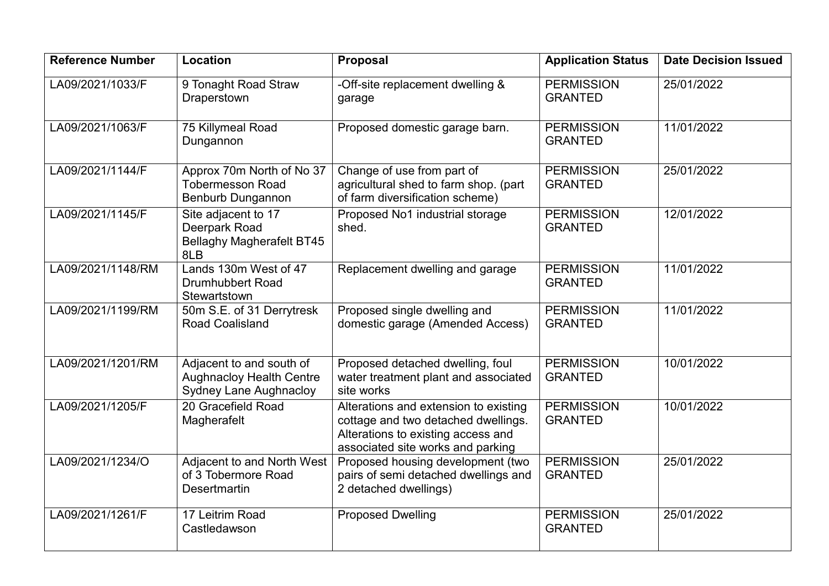| <b>Reference Number</b> | Location                                                                                     | <b>Proposal</b>                                                                                                                                         | <b>Application Status</b>           | <b>Date Decision Issued</b> |
|-------------------------|----------------------------------------------------------------------------------------------|---------------------------------------------------------------------------------------------------------------------------------------------------------|-------------------------------------|-----------------------------|
| LA09/2021/1033/F        | 9 Tonaght Road Straw<br>Draperstown                                                          | -Off-site replacement dwelling &<br>garage                                                                                                              | <b>PERMISSION</b><br><b>GRANTED</b> | 25/01/2022                  |
| LA09/2021/1063/F        | 75 Killymeal Road<br>Dungannon                                                               | Proposed domestic garage barn.                                                                                                                          | <b>PERMISSION</b><br><b>GRANTED</b> | 11/01/2022                  |
| LA09/2021/1144/F        | Approx 70m North of No 37<br><b>Tobermesson Road</b><br><b>Benburb Dungannon</b>             | Change of use from part of<br>agricultural shed to farm shop. (part<br>of farm diversification scheme)                                                  | <b>PERMISSION</b><br><b>GRANTED</b> | 25/01/2022                  |
| LA09/2021/1145/F        | Site adjacent to 17<br>Deerpark Road<br><b>Bellaghy Magherafelt BT45</b><br>8LB              | Proposed No1 industrial storage<br>shed.                                                                                                                | <b>PERMISSION</b><br><b>GRANTED</b> | 12/01/2022                  |
| LA09/2021/1148/RM       | Lands 130m West of 47<br><b>Drumhubbert Road</b><br>Stewartstown                             | Replacement dwelling and garage                                                                                                                         | <b>PERMISSION</b><br><b>GRANTED</b> | 11/01/2022                  |
| LA09/2021/1199/RM       | 50m S.E. of 31 Derrytresk<br>Road Coalisland                                                 | Proposed single dwelling and<br>domestic garage (Amended Access)                                                                                        | <b>PERMISSION</b><br><b>GRANTED</b> | 11/01/2022                  |
| LA09/2021/1201/RM       | Adjacent to and south of<br><b>Aughnacloy Health Centre</b><br><b>Sydney Lane Aughnacloy</b> | Proposed detached dwelling, foul<br>water treatment plant and associated<br>site works                                                                  | <b>PERMISSION</b><br><b>GRANTED</b> | 10/01/2022                  |
| LA09/2021/1205/F        | 20 Gracefield Road<br>Magherafelt                                                            | Alterations and extension to existing<br>cottage and two detached dwellings.<br>Alterations to existing access and<br>associated site works and parking | <b>PERMISSION</b><br><b>GRANTED</b> | 10/01/2022                  |
| LA09/2021/1234/O        | Adjacent to and North West<br>of 3 Tobermore Road<br><b>Desertmartin</b>                     | Proposed housing development (two<br>pairs of semi detached dwellings and<br>2 detached dwellings)                                                      | <b>PERMISSION</b><br><b>GRANTED</b> | 25/01/2022                  |
| LA09/2021/1261/F        | 17 Leitrim Road<br>Castledawson                                                              | <b>Proposed Dwelling</b>                                                                                                                                | <b>PERMISSION</b><br><b>GRANTED</b> | 25/01/2022                  |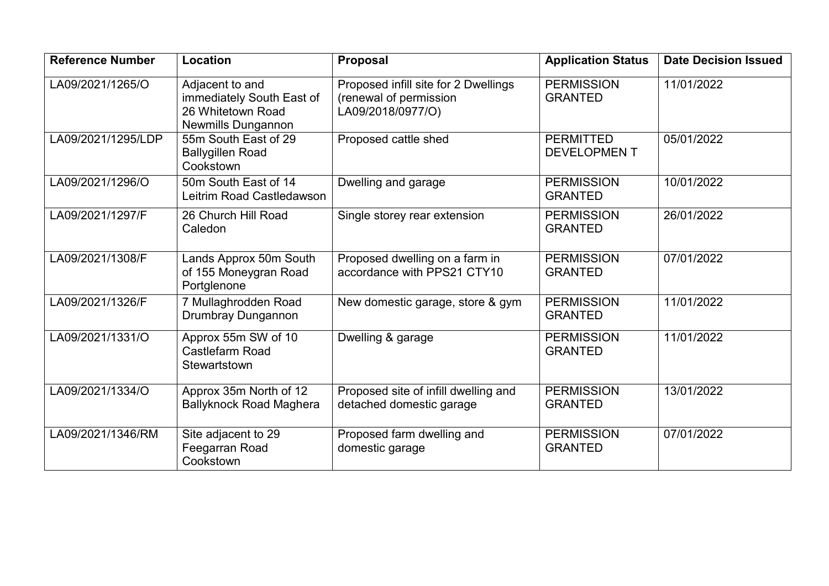| <b>Reference Number</b> | Location                                                                                       | Proposal                                                                            | <b>Application Status</b>              | <b>Date Decision Issued</b> |
|-------------------------|------------------------------------------------------------------------------------------------|-------------------------------------------------------------------------------------|----------------------------------------|-----------------------------|
| LA09/2021/1265/O        | Adjacent to and<br>immediately South East of<br>26 Whitetown Road<br><b>Newmills Dungannon</b> | Proposed infill site for 2 Dwellings<br>(renewal of permission<br>LA09/2018/0977/O) | <b>PERMISSION</b><br><b>GRANTED</b>    | 11/01/2022                  |
| LA09/2021/1295/LDP      | 55m South East of 29<br><b>Ballygillen Road</b><br>Cookstown                                   | Proposed cattle shed                                                                | <b>PERMITTED</b><br><b>DEVELOPMENT</b> | 05/01/2022                  |
| LA09/2021/1296/O        | 50m South East of 14<br>Leitrim Road Castledawson                                              | Dwelling and garage                                                                 | <b>PERMISSION</b><br><b>GRANTED</b>    | 10/01/2022                  |
| LA09/2021/1297/F        | 26 Church Hill Road<br>Caledon                                                                 | Single storey rear extension                                                        | <b>PERMISSION</b><br><b>GRANTED</b>    | 26/01/2022                  |
| LA09/2021/1308/F        | Lands Approx 50m South<br>of 155 Moneygran Road<br>Portglenone                                 | Proposed dwelling on a farm in<br>accordance with PPS21 CTY10                       | <b>PERMISSION</b><br><b>GRANTED</b>    | 07/01/2022                  |
| LA09/2021/1326/F        | 7 Mullaghrodden Road<br>Drumbray Dungannon                                                     | New domestic garage, store & gym                                                    | <b>PERMISSION</b><br><b>GRANTED</b>    | 11/01/2022                  |
| LA09/2021/1331/O        | Approx 55m SW of 10<br>Castlefarm Road<br>Stewartstown                                         | Dwelling & garage                                                                   | <b>PERMISSION</b><br><b>GRANTED</b>    | 11/01/2022                  |
| LA09/2021/1334/O        | Approx 35m North of 12<br><b>Ballyknock Road Maghera</b>                                       | Proposed site of infill dwelling and<br>detached domestic garage                    | <b>PERMISSION</b><br><b>GRANTED</b>    | 13/01/2022                  |
| LA09/2021/1346/RM       | Site adjacent to 29<br>Feegarran Road<br>Cookstown                                             | Proposed farm dwelling and<br>domestic garage                                       | <b>PERMISSION</b><br><b>GRANTED</b>    | 07/01/2022                  |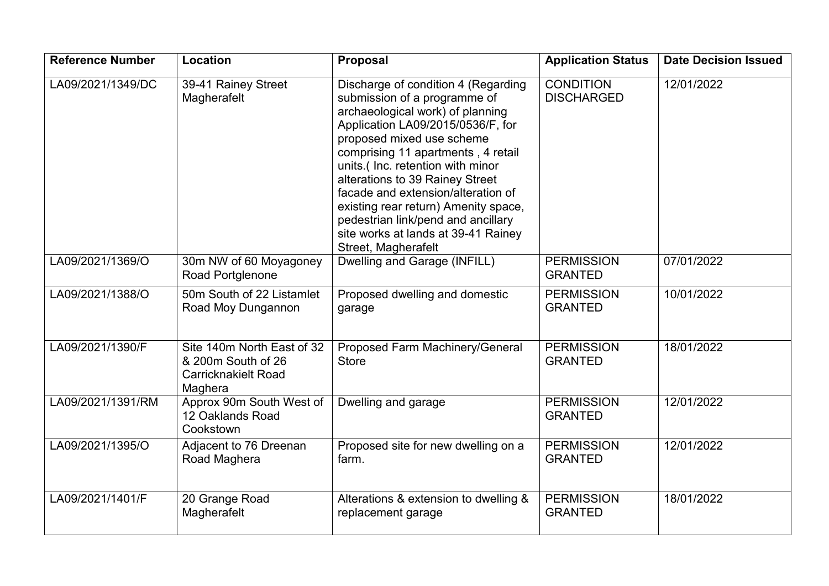| <b>Reference Number</b> | Location                                                                                  | <b>Proposal</b>                                                                                                                                                                                                                                                                                                                                                                                                                                                          | <b>Application Status</b>             | <b>Date Decision Issued</b> |
|-------------------------|-------------------------------------------------------------------------------------------|--------------------------------------------------------------------------------------------------------------------------------------------------------------------------------------------------------------------------------------------------------------------------------------------------------------------------------------------------------------------------------------------------------------------------------------------------------------------------|---------------------------------------|-----------------------------|
| LA09/2021/1349/DC       | 39-41 Rainey Street<br>Magherafelt                                                        | Discharge of condition 4 (Regarding<br>submission of a programme of<br>archaeological work) of planning<br>Application LA09/2015/0536/F, for<br>proposed mixed use scheme<br>comprising 11 apartments, 4 retail<br>units.(Inc. retention with minor<br>alterations to 39 Rainey Street<br>facade and extension/alteration of<br>existing rear return) Amenity space,<br>pedestrian link/pend and ancillary<br>site works at lands at 39-41 Rainey<br>Street, Magherafelt | <b>CONDITION</b><br><b>DISCHARGED</b> | 12/01/2022                  |
| LA09/2021/1369/O        | 30m NW of 60 Moyagoney<br>Road Portglenone                                                | Dwelling and Garage (INFILL)                                                                                                                                                                                                                                                                                                                                                                                                                                             | <b>PERMISSION</b><br><b>GRANTED</b>   | 07/01/2022                  |
| LA09/2021/1388/O        | 50m South of 22 Listamlet<br>Road Moy Dungannon                                           | Proposed dwelling and domestic<br>garage                                                                                                                                                                                                                                                                                                                                                                                                                                 | <b>PERMISSION</b><br><b>GRANTED</b>   | 10/01/2022                  |
| LA09/2021/1390/F        | Site 140m North East of 32<br>& 200m South of 26<br><b>Carricknakielt Road</b><br>Maghera | Proposed Farm Machinery/General<br><b>Store</b>                                                                                                                                                                                                                                                                                                                                                                                                                          | <b>PERMISSION</b><br><b>GRANTED</b>   | 18/01/2022                  |
| LA09/2021/1391/RM       | Approx 90m South West of<br>12 Oaklands Road<br>Cookstown                                 | Dwelling and garage                                                                                                                                                                                                                                                                                                                                                                                                                                                      | <b>PERMISSION</b><br><b>GRANTED</b>   | 12/01/2022                  |
| LA09/2021/1395/O        | Adjacent to 76 Dreenan<br>Road Maghera                                                    | Proposed site for new dwelling on a<br>farm.                                                                                                                                                                                                                                                                                                                                                                                                                             | <b>PERMISSION</b><br><b>GRANTED</b>   | 12/01/2022                  |
| LA09/2021/1401/F        | 20 Grange Road<br>Magherafelt                                                             | Alterations & extension to dwelling &<br>replacement garage                                                                                                                                                                                                                                                                                                                                                                                                              | <b>PERMISSION</b><br><b>GRANTED</b>   | 18/01/2022                  |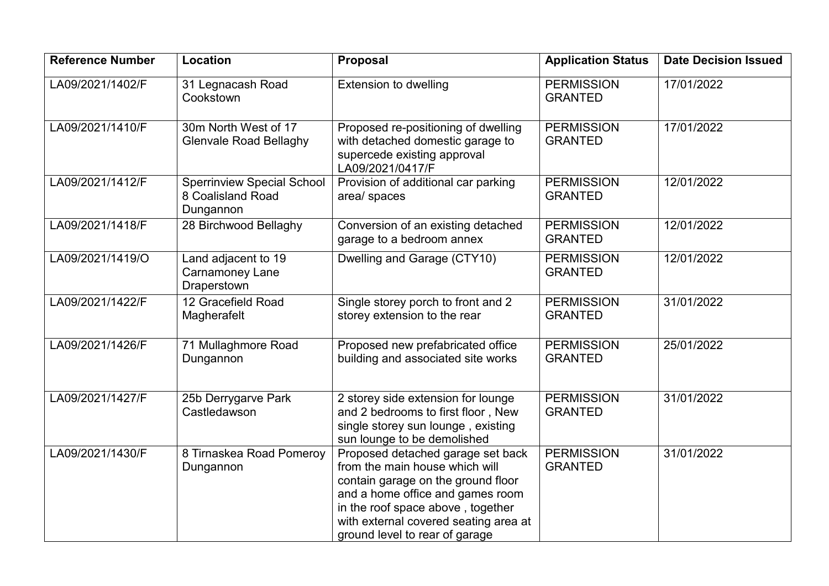| <b>Reference Number</b> | Location                                                            | <b>Proposal</b>                                                                                                                                                                                                                                               | <b>Application Status</b>           | <b>Date Decision Issued</b> |
|-------------------------|---------------------------------------------------------------------|---------------------------------------------------------------------------------------------------------------------------------------------------------------------------------------------------------------------------------------------------------------|-------------------------------------|-----------------------------|
| LA09/2021/1402/F        | 31 Legnacash Road<br>Cookstown                                      | <b>Extension to dwelling</b>                                                                                                                                                                                                                                  | <b>PERMISSION</b><br><b>GRANTED</b> | 17/01/2022                  |
| LA09/2021/1410/F        | 30m North West of 17<br><b>Glenvale Road Bellaghy</b>               | Proposed re-positioning of dwelling<br>with detached domestic garage to<br>supercede existing approval<br>LA09/2021/0417/F                                                                                                                                    | <b>PERMISSION</b><br><b>GRANTED</b> | 17/01/2022                  |
| LA09/2021/1412/F        | <b>Sperrinview Special School</b><br>8 Coalisland Road<br>Dungannon | Provision of additional car parking<br>area/ spaces                                                                                                                                                                                                           | <b>PERMISSION</b><br><b>GRANTED</b> | 12/01/2022                  |
| LA09/2021/1418/F        | 28 Birchwood Bellaghy                                               | Conversion of an existing detached<br>garage to a bedroom annex                                                                                                                                                                                               | <b>PERMISSION</b><br><b>GRANTED</b> | 12/01/2022                  |
| LA09/2021/1419/O        | Land adjacent to 19<br><b>Carnamoney Lane</b><br>Draperstown        | Dwelling and Garage (CTY10)                                                                                                                                                                                                                                   | <b>PERMISSION</b><br><b>GRANTED</b> | 12/01/2022                  |
| LA09/2021/1422/F        | 12 Gracefield Road<br>Magherafelt                                   | Single storey porch to front and 2<br>storey extension to the rear                                                                                                                                                                                            | <b>PERMISSION</b><br><b>GRANTED</b> | 31/01/2022                  |
| LA09/2021/1426/F        | 71 Mullaghmore Road<br>Dungannon                                    | Proposed new prefabricated office<br>building and associated site works                                                                                                                                                                                       | <b>PERMISSION</b><br><b>GRANTED</b> | 25/01/2022                  |
| LA09/2021/1427/F        | 25b Derrygarve Park<br>Castledawson                                 | 2 storey side extension for lounge<br>and 2 bedrooms to first floor, New<br>single storey sun lounge, existing<br>sun lounge to be demolished                                                                                                                 | <b>PERMISSION</b><br><b>GRANTED</b> | 31/01/2022                  |
| LA09/2021/1430/F        | 8 Tirnaskea Road Pomeroy<br>Dungannon                               | Proposed detached garage set back<br>from the main house which will<br>contain garage on the ground floor<br>and a home office and games room<br>in the roof space above, together<br>with external covered seating area at<br>ground level to rear of garage | <b>PERMISSION</b><br><b>GRANTED</b> | 31/01/2022                  |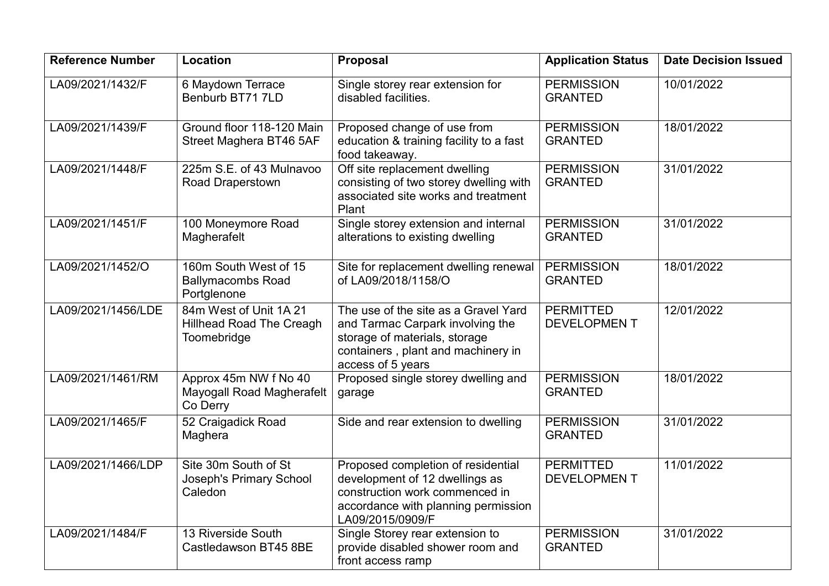| <b>Reference Number</b> | Location                                                                 | <b>Proposal</b>                                                                                                                                                      | <b>Application Status</b>              | <b>Date Decision Issued</b> |
|-------------------------|--------------------------------------------------------------------------|----------------------------------------------------------------------------------------------------------------------------------------------------------------------|----------------------------------------|-----------------------------|
| LA09/2021/1432/F        | 6 Maydown Terrace<br>Benburb BT71 7LD                                    | Single storey rear extension for<br>disabled facilities.                                                                                                             | <b>PERMISSION</b><br><b>GRANTED</b>    | 10/01/2022                  |
| LA09/2021/1439/F        | Ground floor 118-120 Main<br>Street Maghera BT46 5AF                     | Proposed change of use from<br>education & training facility to a fast<br>food takeaway.                                                                             | <b>PERMISSION</b><br><b>GRANTED</b>    | 18/01/2022                  |
| LA09/2021/1448/F        | 225m S.E. of 43 Mulnavoo<br><b>Road Draperstown</b>                      | Off site replacement dwelling<br>consisting of two storey dwelling with<br>associated site works and treatment<br>Plant                                              | <b>PERMISSION</b><br><b>GRANTED</b>    | 31/01/2022                  |
| LA09/2021/1451/F        | 100 Moneymore Road<br>Magherafelt                                        | Single storey extension and internal<br>alterations to existing dwelling                                                                                             | <b>PERMISSION</b><br><b>GRANTED</b>    | 31/01/2022                  |
| LA09/2021/1452/O        | 160m South West of 15<br><b>Ballymacombs Road</b><br>Portglenone         | Site for replacement dwelling renewal<br>of LA09/2018/1158/O                                                                                                         | <b>PERMISSION</b><br><b>GRANTED</b>    | 18/01/2022                  |
| LA09/2021/1456/LDE      | 84m West of Unit 1A 21<br><b>Hillhead Road The Creagh</b><br>Toomebridge | The use of the site as a Gravel Yard<br>and Tarmac Carpark involving the<br>storage of materials, storage<br>containers, plant and machinery in<br>access of 5 years | <b>PERMITTED</b><br><b>DEVELOPMENT</b> | 12/01/2022                  |
| LA09/2021/1461/RM       | Approx 45m NW f No 40<br>Mayogall Road Magherafelt<br>Co Derry           | Proposed single storey dwelling and<br>garage                                                                                                                        | <b>PERMISSION</b><br><b>GRANTED</b>    | 18/01/2022                  |
| LA09/2021/1465/F        | 52 Craigadick Road<br>Maghera                                            | Side and rear extension to dwelling                                                                                                                                  | <b>PERMISSION</b><br><b>GRANTED</b>    | 31/01/2022                  |
| LA09/2021/1466/LDP      | Site 30m South of St<br>Joseph's Primary School<br>Caledon               | Proposed completion of residential<br>development of 12 dwellings as<br>construction work commenced in<br>accordance with planning permission<br>LA09/2015/0909/F    | <b>PERMITTED</b><br><b>DEVELOPMENT</b> | 11/01/2022                  |
| LA09/2021/1484/F        | 13 Riverside South<br>Castledawson BT45 8BE                              | Single Storey rear extension to<br>provide disabled shower room and<br>front access ramp                                                                             | <b>PERMISSION</b><br><b>GRANTED</b>    | 31/01/2022                  |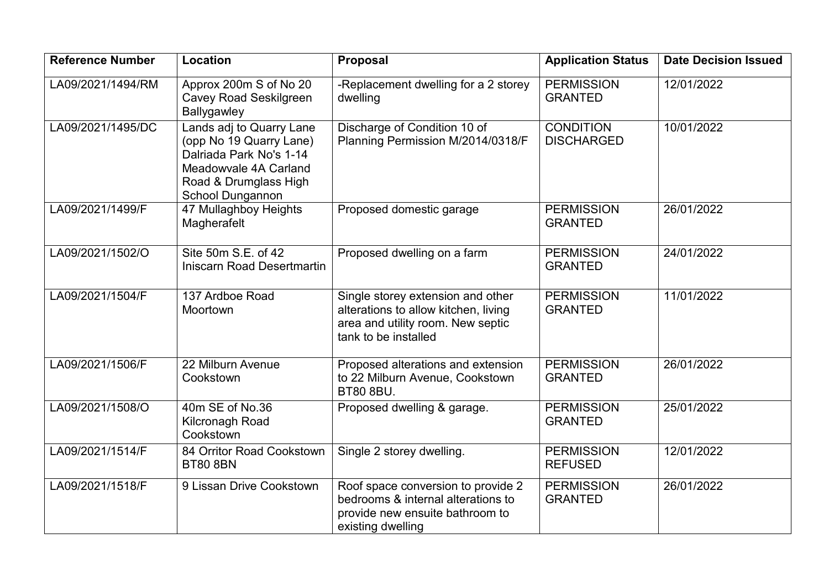| <b>Reference Number</b> | Location                                                                                                                                                    | Proposal                                                                                                                               | <b>Application Status</b>             | <b>Date Decision Issued</b> |
|-------------------------|-------------------------------------------------------------------------------------------------------------------------------------------------------------|----------------------------------------------------------------------------------------------------------------------------------------|---------------------------------------|-----------------------------|
| LA09/2021/1494/RM       | Approx 200m S of No 20<br><b>Cavey Road Seskilgreen</b><br>Ballygawley                                                                                      | -Replacement dwelling for a 2 storey<br>dwelling                                                                                       | <b>PERMISSION</b><br><b>GRANTED</b>   | 12/01/2022                  |
| LA09/2021/1495/DC       | Lands adj to Quarry Lane<br>(opp No 19 Quarry Lane)<br>Dalriada Park No's 1-14<br>Meadowvale 4A Carland<br>Road & Drumglass High<br><b>School Dungannon</b> | Discharge of Condition 10 of<br>Planning Permission M/2014/0318/F                                                                      | <b>CONDITION</b><br><b>DISCHARGED</b> | 10/01/2022                  |
| LA09/2021/1499/F        | 47 Mullaghboy Heights<br>Magherafelt                                                                                                                        | Proposed domestic garage                                                                                                               | <b>PERMISSION</b><br><b>GRANTED</b>   | 26/01/2022                  |
| LA09/2021/1502/O        | Site 50m S.E. of 42<br><b>Iniscarn Road Desertmartin</b>                                                                                                    | Proposed dwelling on a farm                                                                                                            | <b>PERMISSION</b><br><b>GRANTED</b>   | 24/01/2022                  |
| LA09/2021/1504/F        | 137 Ardboe Road<br>Moortown                                                                                                                                 | Single storey extension and other<br>alterations to allow kitchen, living<br>area and utility room. New septic<br>tank to be installed | <b>PERMISSION</b><br><b>GRANTED</b>   | 11/01/2022                  |
| LA09/2021/1506/F        | 22 Milburn Avenue<br>Cookstown                                                                                                                              | Proposed alterations and extension<br>to 22 Milburn Avenue, Cookstown<br><b>BT80 8BU.</b>                                              | <b>PERMISSION</b><br><b>GRANTED</b>   | 26/01/2022                  |
| LA09/2021/1508/O        | 40m SE of No.36<br>Kilcronagh Road<br>Cookstown                                                                                                             | Proposed dwelling & garage.                                                                                                            | <b>PERMISSION</b><br><b>GRANTED</b>   | 25/01/2022                  |
| LA09/2021/1514/F        | 84 Orritor Road Cookstown<br><b>BT80 8BN</b>                                                                                                                | Single 2 storey dwelling.                                                                                                              | <b>PERMISSION</b><br><b>REFUSED</b>   | 12/01/2022                  |
| LA09/2021/1518/F        | 9 Lissan Drive Cookstown                                                                                                                                    | Roof space conversion to provide 2<br>bedrooms & internal alterations to<br>provide new ensuite bathroom to<br>existing dwelling       | <b>PERMISSION</b><br><b>GRANTED</b>   | 26/01/2022                  |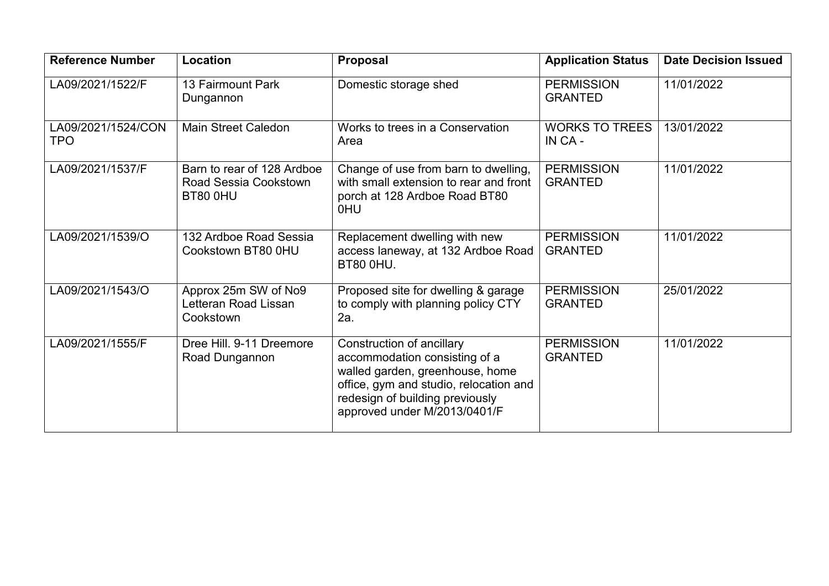| <b>Reference Number</b>          | Location                                                               | Proposal                                                                                                                                                                                                   | <b>Application Status</b>           | <b>Date Decision Issued</b> |
|----------------------------------|------------------------------------------------------------------------|------------------------------------------------------------------------------------------------------------------------------------------------------------------------------------------------------------|-------------------------------------|-----------------------------|
| LA09/2021/1522/F                 | 13 Fairmount Park<br>Dungannon                                         | Domestic storage shed                                                                                                                                                                                      | <b>PERMISSION</b><br><b>GRANTED</b> | 11/01/2022                  |
| LA09/2021/1524/CON<br><b>TPO</b> | <b>Main Street Caledon</b>                                             | Works to trees in a Conservation<br>Area                                                                                                                                                                   | <b>WORKS TO TREES</b><br>IN CA-     | 13/01/2022                  |
| LA09/2021/1537/F                 | Barn to rear of 128 Ardboe<br><b>Road Sessia Cookstown</b><br>BT80 0HU | Change of use from barn to dwelling,<br>with small extension to rear and front<br>porch at 128 Ardboe Road BT80<br>0HU                                                                                     | <b>PERMISSION</b><br><b>GRANTED</b> | 11/01/2022                  |
| LA09/2021/1539/O                 | 132 Ardboe Road Sessia<br>Cookstown BT80 0HU                           | Replacement dwelling with new<br>access laneway, at 132 Ardboe Road<br><b>BT80 0HU.</b>                                                                                                                    | <b>PERMISSION</b><br><b>GRANTED</b> | 11/01/2022                  |
| LA09/2021/1543/O                 | Approx 25m SW of No9<br>Letteran Road Lissan<br>Cookstown              | Proposed site for dwelling & garage<br>to comply with planning policy CTY<br>2a.                                                                                                                           | <b>PERMISSION</b><br><b>GRANTED</b> | 25/01/2022                  |
| LA09/2021/1555/F                 | Dree Hill. 9-11 Dreemore<br>Road Dungannon                             | Construction of ancillary<br>accommodation consisting of a<br>walled garden, greenhouse, home<br>office, gym and studio, relocation and<br>redesign of building previously<br>approved under M/2013/0401/F | <b>PERMISSION</b><br><b>GRANTED</b> | 11/01/2022                  |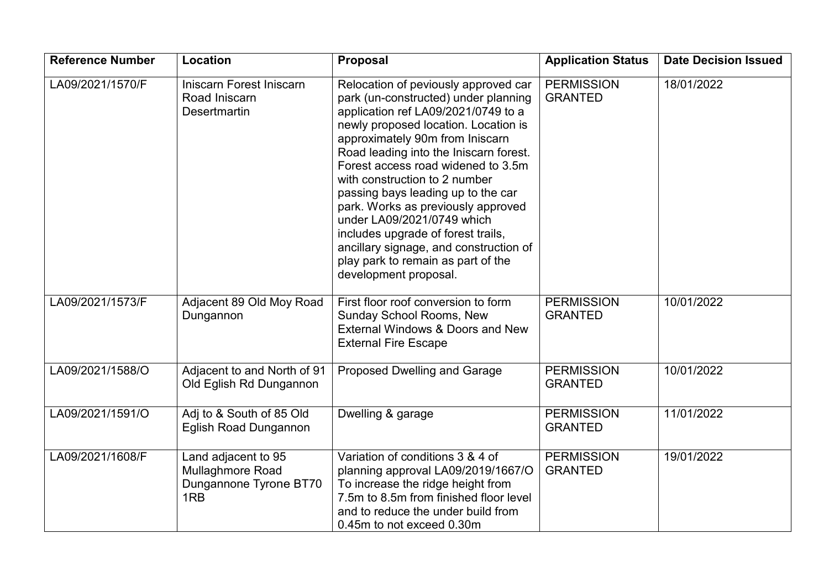| <b>Reference Number</b> | Location                                                                 | Proposal                                                                                                                                                                                                                                                                                                                                                                                                                                                                                                                                                                 | <b>Application Status</b>           | <b>Date Decision Issued</b> |
|-------------------------|--------------------------------------------------------------------------|--------------------------------------------------------------------------------------------------------------------------------------------------------------------------------------------------------------------------------------------------------------------------------------------------------------------------------------------------------------------------------------------------------------------------------------------------------------------------------------------------------------------------------------------------------------------------|-------------------------------------|-----------------------------|
| LA09/2021/1570/F        | Iniscarn Forest Iniscarn<br>Road Iniscarn<br><b>Desertmartin</b>         | Relocation of peviously approved car<br>park (un-constructed) under planning<br>application ref LA09/2021/0749 to a<br>newly proposed location. Location is<br>approximately 90m from Iniscarn<br>Road leading into the Iniscarn forest.<br>Forest access road widened to 3.5m<br>with construction to 2 number<br>passing bays leading up to the car<br>park. Works as previously approved<br>under LA09/2021/0749 which<br>includes upgrade of forest trails,<br>ancillary signage, and construction of<br>play park to remain as part of the<br>development proposal. | <b>PERMISSION</b><br><b>GRANTED</b> | 18/01/2022                  |
| LA09/2021/1573/F        | Adjacent 89 Old Moy Road<br>Dungannon                                    | First floor roof conversion to form<br><b>Sunday School Rooms, New</b><br>External Windows & Doors and New<br><b>External Fire Escape</b>                                                                                                                                                                                                                                                                                                                                                                                                                                | <b>PERMISSION</b><br><b>GRANTED</b> | 10/01/2022                  |
| LA09/2021/1588/O        | Adjacent to and North of 91<br>Old Eglish Rd Dungannon                   | <b>Proposed Dwelling and Garage</b>                                                                                                                                                                                                                                                                                                                                                                                                                                                                                                                                      | <b>PERMISSION</b><br><b>GRANTED</b> | 10/01/2022                  |
| LA09/2021/1591/O        | Adj to & South of 85 Old<br><b>Eglish Road Dungannon</b>                 | Dwelling & garage                                                                                                                                                                                                                                                                                                                                                                                                                                                                                                                                                        | <b>PERMISSION</b><br><b>GRANTED</b> | 11/01/2022                  |
| LA09/2021/1608/F        | Land adjacent to 95<br>Mullaghmore Road<br>Dungannone Tyrone BT70<br>1RB | Variation of conditions 3 & 4 of<br>planning approval LA09/2019/1667/O<br>To increase the ridge height from<br>7.5m to 8.5m from finished floor level<br>and to reduce the under build from<br>0.45m to not exceed 0.30m                                                                                                                                                                                                                                                                                                                                                 | <b>PERMISSION</b><br><b>GRANTED</b> | 19/01/2022                  |